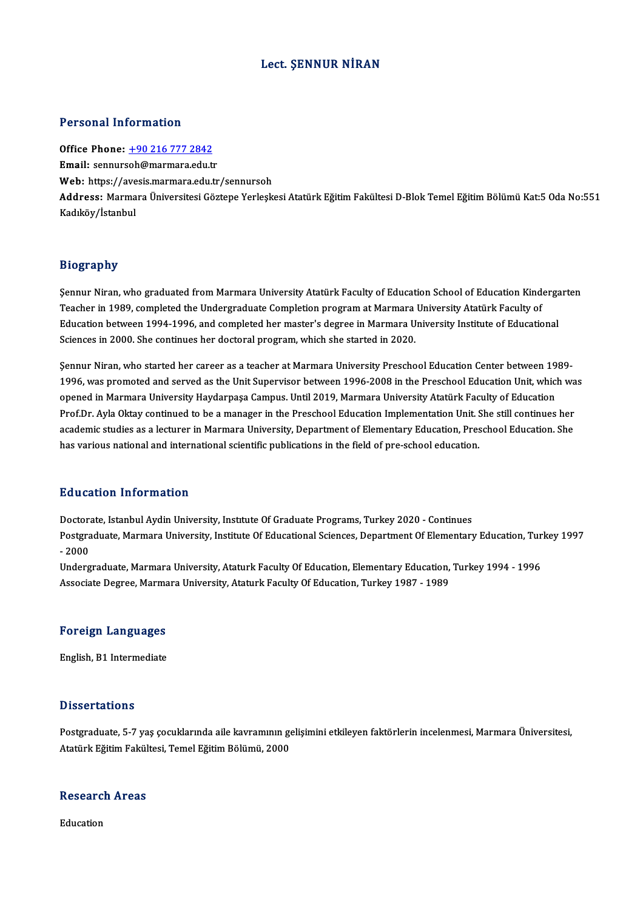#### Lect. ŞENNUR NİRAN

#### Personal Information

Office Phone: +90 216 777 2842 Email: sennurs[oh@marmara.edu.t](tel:+90 216 777 2842)r Office Phone: <u>+90 216 777 2842</u><br>Email: sennursoh@marmara.edu.tr<br>Web: https://avesis.marmara.edu.tr/sennursoh<br>Address. Marmara Üniversitesi.Cöstene Verlesk Address: Marmara Üniversitesi Göztepe Yerleşkesi Atatürk Eğitim Fakültesi D-Blok Temel Eğitim Bölümü Kat:5 Oda No:551<br>Kadıköy/İstanbul Web: https://ave<br>Address: Marma<br>Kadıköy/İstanbul

#### Biography

Bi<mark>ography</mark><br>Şennur Niran, who graduated from Marmara University Atatürk Faculty of Education School of Education Kindergarten<br>Teasher in 1989, completed the Undergraduate Completion program at Marmara University Atatürk Fa Teagler in<br>Sennur Niran, who graduated from Marmara University Atatürk Faculty of Education School of Education Kind<br>Teacher in 1989, completed the Undergraduate Completion program at Marmara University Atatürk Faculty of<br> Sennur Niran, who graduated from Marmara University Atatürk Faculty of Education School of Education Kinderga<br>Teacher in 1989, completed the Undergraduate Completion program at Marmara University Atatürk Faculty of<br>Educati Teacher in 1989, completed the Undergraduate Completion program at Marmara University Atatürk Faculty of<br>Education between 1994-1996, and completed her master's degree in Marmara University Institute of Educational<br>Science

Sciences in 2000. She continues her doctoral program, which she started in 2020.<br>Sennur Niran, who started her career as a teacher at Marmara University Preschool Education Center between 1989-<br>1996, was premated and serve Sciences in 2000, she continues ner uoctoral program, which she started in 2020.<br>Sennur Niran, who started her career as a teacher at Marmara University Preschool Education Center between 1989<br>1996, was promoted and served Sennur Niran, who started her career as a teacher at Marmara University Preschool Education Center between 19<br>1996, was promoted and served as the Unit Supervisor between 1996-2008 in the Preschool Education Unit, which<br>op 1996, was promoted and served as the Unit Supervisor between 1996-2008 in the Preschool Education Unit, which wa<br>opened in Marmara University Haydarpaşa Campus. Until 2019, Marmara University Atatürk Faculty of Education<br>P opened in Marmara University Haydarpaşa Campus. Until 2019, Marmara University Atatürk Faculty of Education<br>Prof.Dr. Ayla Oktay continued to be a manager in the Preschool Education Implementation Unit. She still continues Prof.Dr. Ayla Oktay continued to be a manager in the Preschool Education Implementation Unit. S<br>academic studies as a lecturer in Marmara University, Department of Elementary Education, Pres<br>has various national and intern has various national and international scientific publications in the field of pre-school education.<br>Education Information

**Education Information<br>Doctorate, Istanbul Aydin University, Institute Of Graduate Programs, Turkey 2020 - Continues<br>Postsraduate Marmara University, Institute Of Educational Sciences, Department Of Elementery** Pu d'ederen Threr Inderen<br>Doctorate, Istanbul Aydin University, Institute Of Graduate Programs, Turkey 2020 - Continues<br>Postgraduate, Marmara University, Institute Of Educational Sciences, Department Of Elementary Educatio Doctora<br>Postgra<br>- 2000<br>Underg Postgraduate, Marmara University, Institute Of Educational Sciences, Department Of Elementary Education, Tur<br>- 2000<br>Undergraduate, Marmara University, Ataturk Faculty Of Education, Elementary Education, Turkey 1994 - 1996<br>

- 2000<br>Undergraduate, Marmara University, Ataturk Faculty Of Education, Elementary Education, Turkey 1994 - 1996<br>Associate Degree, Marmara University, Ataturk Faculty Of Education, Turkey 1987 - 1989

# Associate Degree, Marma<br>Foreign Languages F<mark>oreign Languages</mark><br>English, B1 Intermediate

English, B1 Intermediate<br>Dissertations

Dissertations<br>Postgraduate, 5-7 yaş çocuklarında aile kavramının gelişimini etkileyen faktörlerin incelenmesi, Marmara Üniversitesi,<br>Atatürk Fğitim Fakültesi, Temel Fğitim Pölümü, 2000 2 15561 tatrono<br>Postgraduate, 5-7 yaş çocuklarında aile kavramının ge<br>Atatürk Eğitim Fakültesi, Temel Eğitim Bölümü, 2000

# Ataturk Egitim Pakui<br>Research Areas Re<mark>searc</mark>l<br>Education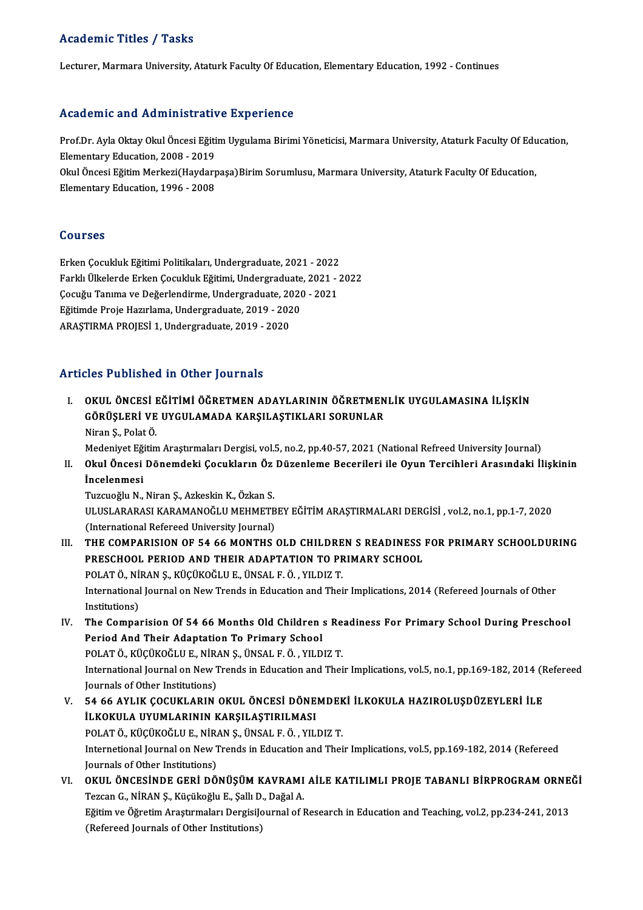#### Academic Titles / Tasks

Lecturer, Marmara University, Ataturk Faculty Of Education, Elementary Education, 1992 - Continues

#### Academic and Administrative Experience

Academic and Administrative Experience<br>Prof.Dr. Ayla Oktay Okul Öncesi Eğitim Uygulama Birimi Yöneticisi, Marmara University, Ataturk Faculty Of Education,<br>Flamentary Education, 2008, 2019 Elementary Education, 2008 - 2019<br>Elementary Education, 2008 - 2019<br>Clay Öncesi Eğitim Merkeri (Havdarı Prof.Dr. Ayla Oktay Okul Öncesi Eğitim Uygulama Birimi Yöneticisi, Marmara University, Ataturk Faculty Of Edu<br>Elementary Education, 2008 - 2019<br>Okul Öncesi Eğitim Merkezi(Haydarpaşa)Birim Sorumlusu, Marmara University, Ata

Elementary Education, 2008 - 2019<br>Okul Öncesi Eğitim Merkezi(Haydarpaşa)Birim Sorumlusu, Marmara University, Ataturk Faculty Of Education,<br>Elementary Education, 1996 - 2008

#### Courses

Erken Çocukluk Eğitimi Politikaları, Undergraduate, 2021 - 2022 SSATBSS<br>Erken Çocukluk Eğitimi Politikaları, Undergraduate, 2021 - 2022<br>Farklı Ülkelerde Erken Çocukluk Eğitimi, Undergraduate, 2021 - 2022<br>Cosuğu Tanıma ve Doğarlandirma, Undergraduata, 2020, 2021 Erken Çocukluk Eğitimi Politikaları, Undergraduate, 2021 - 2022<br>Farklı Ülkelerde Erken Çocukluk Eğitimi, Undergraduate, 2021 - .<br>Çocuğu Tanıma ve Değerlendirme, Undergraduate, 2020 - 2021<br>Fğitimde Proje Hazırlama Undergrad Çocuğu Tanıma ve Değerlendirme, Undergraduate, 2020 - 2021<br>Eğitimde Proje Hazırlama, Undergraduate, 2019 - 2020 ARAŞTIRMAPROJESİ1,Undergraduate,2019 -2020

### Articles Published in Other Journals

I. OKUL ÖNCESİ EĞİTİMİ ÖĞRETMEN ADAYLARININ ÖĞRETMENLİK UYGULAMASINA İLİŞKİN SES TÜSTENDÜ IN OTIDI JOUTNUS<br>OKUL ÖNCESİ EĞİTİMİ ÖĞRETMEN ADAYLARININ ÖĞRETMEN<br>GÖRÜŞLERİ VE UYGULAMADA KARŞILAŞTIKLARI SORUNLAR<br>Niran S. Polat Ö OKUL ÖNCESİ I<br>GÖRÜŞLERİ VE<br>Niran Ş., Polat Ö.<br>Modoniyot Eğitim GÖRÜŞLERİ VE UYGULAMADA KARŞILAŞTIKLARI SORUNLAR<br>Niran Ş., Polat Ö.<br>Medeniyet Eğitim Araştırmaları Dergisi, vol.5, no.2, pp.40-57, 2021 (National Refreed University Journal)<br>Okul Öngesi Dönemdeki Casuklanın Ör Dürenleme Be

## Niran Ş., Polat Ö.<br>I . Okul Öncesi Dönemdeki Çocukların Öz Düzenleme Becerileri ile Oyun Tercihleri Arasındaki İlişkinin<br>I . Okul Öncesi Dönemdeki Çocukların Öz Düzenleme Becerileri ile Oyun Tercihleri Arasındaki İlişkinin Medeniyet Eği<br><mark>Okul Öncesi</mark><br>İncelenmesi<br>Tugayeğlu N Okul Öncesi Dönemdeki Çocukların Öz<br>İncelenmesi<br>Tuzcuoğlu N., Niran Ş., Azkeskin K., Özkan S.<br>ULUSLARARASI KARAMANOĞLU MEHMETE

İncelenmesi<br>Tuzcuoğlu N., Niran Ş., Azkeskin K., Özkan S.<br>ULUSLARARASI KARAMANOĞLU MEHMETBEY EĞİTİM ARAŞTIRMALARI DERGİSİ , vol.2, no.1, pp.1-7, 2020<br>(International Befereed University Journal) Tuzcuoğlu N., Niran Ş., Azkeskin K., Özkan S.<br>ULUSLARARASI KARAMANOĞLU MEHMETB<br>(International Refereed University Journal)<br>THE COMBABISION OF 54-66 MONTHS ULUSLARARASI KARAMANOĞLU MEHMETBEY EĞİTİM ARAŞTIRMALARI DERGİSİ , vol.2, no.1, pp.1-7, 2020<br>(International Refereed University Journal)<br>III. THE COMPARISION OF 54 66 MONTHS OLD CHILDREN S READINESS FOR PRIMARY SCHOOLDU

- (International Refereed University Journal)<br>THE COMPARISION OF 54 66 MONTHS OLD CHILDREN S READINESS<br>PRESCHOOL PERIOD AND THEIR ADAPTATION TO PRIMARY SCHOOL<br>POLATÖ NIRAN S. KÜCÜKOČLUE ÜNSALEÖ, VU DIZ T THE COMPARISION OF 54 66 MONTHS OLD CHILDRE<br>PRESCHOOL PERIOD AND THEIR ADAPTATION TO PF<br>POLAT Ö., NİRAN Ş., KÜÇÜKOĞLU E., ÜNSAL F. Ö. , YILDIZ T.<br>International Journal on New Tronds in Education and Thei PRESCHOOL PERIOD AND THEIR ADAPTATION TO PRIMARY SCHOOL<br>POLAT Ö., NİRAN Ş., KÜÇÜKOĞLU E., ÜNSAL F. Ö. , YILDIZ T.<br>International Journal on New Trends in Education and Their Implications, 2014 (Refereed Journals of Other<br>In POLAT Ö., Nİ<br>International<br>Institutions)<br>The Comnat International Journal on New Trends in Education and Their Implications, 2014 (Refereed Journals of Other<br>Institutions)<br>IV. The Comparision Of 54 66 Months Old Children s Readiness For Primary School During Preschool<br>Pario
- Institutions)<br>The Comparision Of 54 66 Months Old Children :<br>Period And Their Adaptation To Primary School<br>POLATÖ KÜCÜKOČLUE NİRANS ÜNSALEÖ YUD The Comparision Of 54 66 Months Old Children s Re<br>Period And Their Adaptation To Primary School<br>POLAT Ö., KÜÇÜKOĞLU E., NİRAN Ş., ÜNSAL F. Ö. , YILDIZ T.<br>International Journal on New Trands in Education and Thei Period And Their Adaptation To Primary School<br>POLAT Ö., KÜÇÜKOĞLU E., NİRAN Ş., ÜNSAL F. Ö. , YILDIZ T.<br>International Journal on New Trends in Education and Their Implications, vol.5, no.1, pp.169-182, 2014 (Refereed<br>Journ POLAT Ö., KÜÇÜKOĞLU E., NİR.<br>International Journal on New T<br>Journals of Other Institutions)<br>E4 EE AVI IK COCUKLAPIN International Journal on New Trends in Education and Their Implications, vol.5, no.1, pp.169-182, 2014 (F<br>Journals of Other Institutions)<br>V. 54 66 AYLIK ÇOCUKLARIN OKUL ÖNCESİ DÖNEMDEKİ İLKOKULA HAZIROLUŞDÜZEYLERİ İLE<br>ILKO
- Journals of Other Institutions)<br>54 66 AYLIK ÇOCUKLARIN OKUL ÖNCESİ DÖNE<br>İLKOKULA UYUMLARININ KARŞILAŞTIRILMASI<br>POLATÖ KÜÇÜKOĞLU E NİRAN S-ÜNSAL E Ö- YUL 54 66 AYLIK ÇOCUKLARIN OKUL ÖNCESİ DÖNEMDEK<br>İLKOKULA UYUMLARININ KARŞILAŞTIRILMASI<br>POLAT Ö., KÜÇÜKOĞLU E., NİRAN Ş., ÜNSAL F. Ö. , YILDIZ T.<br>International Jaurnal on New Tranda in Education and Thei İLKOKULA UYUMLARININ KARŞILAŞTIRILMASI<br>POLAT Ö., KÜÇÜKOĞLU E., NİRAN Ş., ÜNSAL F. Ö. , YILDIZ T.<br>Internetional Journal on New Trends in Education and Their Implications, vol.5, pp.169-182, 2014 (Refereed<br>Journals of Other POLAT Ö., KÜÇÜKOĞLU E., NİR.<br>Internetional Journal on New T<br>Journals of Other Institutions)<br>OKUL ÖNCESİNDE CERİ DÖ Internetional Journal on New Trends in Education and Their Implications, vol.5, pp.169-182, 2014 (Refereed<br>Journals of Other Institutions)<br>VI. OKUL ÖNCESİNDE GERİ DÖNÜŞÜM KAVRAMI AİLE KATILIMLI PROJE TABANLI BİRPROGRAM ORN Journals of Other Institutions)<br>OKUL ÖNCESİNDE GERİ DÖNÜŞÜM KAVRAMI<br>Tezcan G., NİRAN Ş., Küçükoğlu E., Şallı D., Dağal A.<br>Fğitim ve Öğretim Arastırmaları Dergisileyrnal of I
- OKUL ÖNCESİNDE GERİ DÖNÜŞÜM KAVRAMI AİLE KATILIMLI PROJE TABANLI BİRPROGRAM ORNE<br>Tezcan G., NİRAN Ş., Küçükoğlu E., Şallı D., Dağal A.<br>Eğitim ve Öğretim Araştırmaları DergisiJournal of Research in Education and Teaching, v Tezcan G., NİRAN Ş., Küçükoğlu E., Şallı D., Dağal A.<br>Eğitim ve Öğretim Araştırmaları DergisiJournal of Research in Education and Teaching, vol.2, pp.234-241, 2013<br>(Refereed Journals of Other Institutions)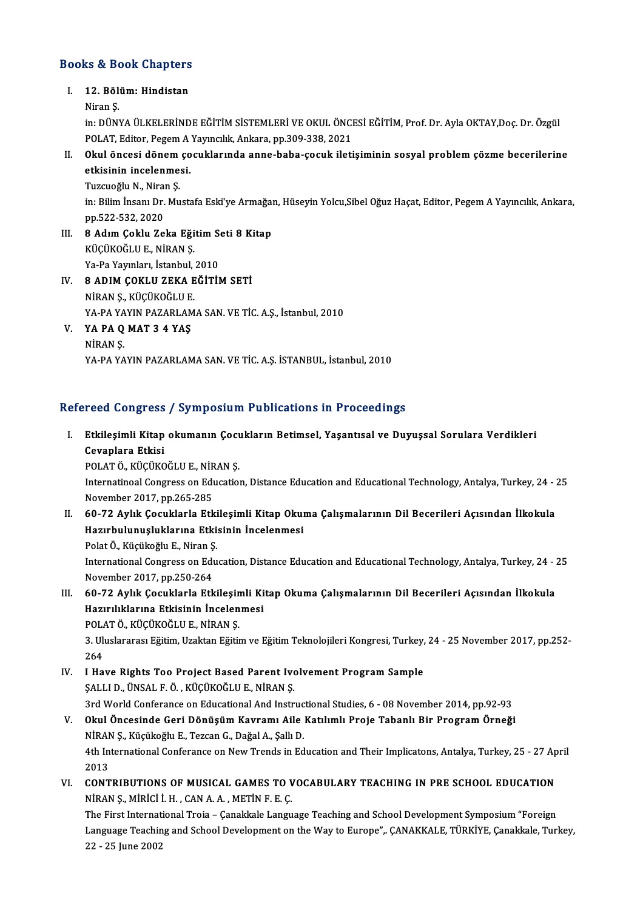# Books&Book Chapters ooks & Book Chapters<br>I. 12. Bölüm: Hindistan<br>Niron S

### I. 12. Bölüm: Hindistan<br>Niran S.

12. Bölüm: Hindistan<br>Niran Ş.<br>in: DÜNYA ÜLKELERİNDE EĞİTİM SİSTEMLERİ VE OKUL ÖNCESİ EĞİTİM, Prof. Dr. Ayla OKTAY,Doç. Dr. Özgül<br>POLAT Editar Pegem A Yayıncılık Arkara np 200 228, 2021 Niran Ş.<br>in: DÜNYA ÜLKELERİNDE EĞİTİM SİSTEMLERİ VE OKUL ÖNCI<br>POLAT, Editor, Pegem A Yayıncılık, Ankara, pp.309-338, 2021<br>Okul öngesi dönem sosuklarında anna baba sosuk ileti in: DÜNYA ÜLKELERİNDE EĞİTİM SİSTEMLERİ VE OKUL ÖNCESİ EĞİTİM, Prof. Dr. Ayla OKTAY,Doç. Dr. Özgül<br>POLAT, Editor, Pegem A Yayıncılık, Ankara, pp.309-338, 2021<br>II. Okul öncesi dönem çocuklarında anne-baba-çocuk iletişiminin

## POLAT, Editor, Pegem A Yayıncılık, Ankara, pp.309-338, 2021<br>II. Okul öncesi dönem çocuklarında anne-baba-çocuk iletişiminin sosyal problem çözme becerilerine<br>etkisinin incelenmesi.

Tuzcuoğlu N., Niran S. etkisinin incelenmesi.<br>Tuzcuoğlu N., Niran Ş.<br>in: Bilim İnsanı Dr. Mustafa Eski'ye Armağan, Hüseyin Yolcu,Sibel Oğuz Haçat, Editor, Pegem A Yayıncılık, Ankara, Tuzcuoğlu N., Nirai<br>in: Bilim İnsanı Dr.<br>pp.522-532, 2020<br>8. Adım Galdu Za

- pp.522-532, 2020<br>III. 8 Adım Çoklu Zeka Eğitim Seti 8 Kitap KÜÇÜKOĞLU E., NİRAN Ş. 8 Adım Çoklu Zeka Eğitim S<br>KÜÇÜKOĞLU E., NİRAN Ş.<br>Ya-Pa Yayınları, İstanbul, 2010<br>9 ADIM GOKLU ZEKA EĞİTİL
- IV. 8 ADIM ÇOKLU ZEKA EĞİTİM SETİ<br>NİRAN Ş., KÜÇÜKOĞLU E. Ya-Pa Yayınları, İstanbul,<br>8 ADIM ÇOKLU ZEKA E<br>NİRAN Ş., KÜÇÜKOĞLU E.<br>YA BA YAYIN BAZAPLAM 8 ADIM ÇOKLU ZEKA EĞİTİM SETİ<br>NİRAN Ş., KÜÇÜKOĞLU E.<br>YA-PA YAYIN PAZARLAMA SAN. VE TİC. A.Ş., İstanbul, 2010<br>YA-PA Q MAT 3 4 YAS
- V. YA PA Q MAT 3 4 YAŞ<br>NİRAN Ş. YA-PA YA<br>YA PA Q<br>NİRAN Ş.<br>YA PA YA YA-PAYAYIN PAZARLAMA SAN. VE TİC. A.Ş. İSTANBUL, İstanbul, 2010

### Refereed Congress / Symposium Publications in Proceedings

efereed Congress / Symposium Publications in Proceedings<br>I. Etkileşimli Kitap okumanın Çocukların Betimsel, Yaşantısal ve Duyuşsal Sorulara Verdikleri<br>Covenlara Etkici reca congress<br>Etkileşimli Kitap<br>Cevaplara Etkisi<br>POLATÖ *V*ÜCÜVC Etkileşimli Kitap okumanın Çocu<br>Cevaplara Etkisi<br>POLAT Ö., KÜÇÜKOĞLU E., NİRAN Ş.<br>Internatineal Consrees on Educatio

POLAT Ö., KÜÇÜKOĞLU E., NİRAN Ş.

Cevaplara Etkisi<br>POLAT Ö., KÜÇÜKOĞLU E., NİRAN Ş.<br>Internatinoal Congress on Education, Distance Education and Educational Technology, Antalya, Turkey, 24 - 25<br>November 2017, pp.265-285 Internatinoal Congress on Education, Distance Education and Educational Technology, Antalya, Turkey, 24 - :<br>November 2017, pp.265-285<br>II. 60-72 Aylık Çocuklarla Etkileşimli Kitap Okuma Çalışmalarının Dil Becerileri Açısınd

November 2017, pp.265-285<br>60-72 Aylık Çocuklarla Etkileşimli Kitap Okul<br>Hazırbulunuşluklarına Etkisinin İncelenmesi<br>PektÖ Küsükoğlu E. Niran S 60-72 Aylık Çocuklarla Etki<br>Hazırbulunuşluklarına Etki:<br>Polat Ö., Küçükoğlu E., Niran Ş.<br>International Congress on Edu Hazırbulunuşluklarına Etkisinin İncelenmesi<br>Polat Ö., Küçükoğlu E., Niran Ş.<br>International Congress on Education, Distance Education and Educational Technology, Antalya, Turkey, 24 - 25<br>Navember 2017, pp.250,264

Polat Ö., Küçükoğlu E., Niran Ş<br>International Congress on Edu<br>November 2017, pp.250-264<br>60.73. Aylık Cosuklarla Eth International Congress on Education, Distance Education and Educational Technology, Antalya, Turkey, 24 - 1<br>November 2017, pp.250-264<br>III. 60-72 Aylık Çocuklarla Etkileşimli Kitap Okuma Çalışmalarının Dil Becerileri Açısın

November 2017, pp.250-264<br>60-72 Aylık Çocuklarla Etkileşimli Ki<br>Hazırılıklarına Etkisinin İncelenmesi<br>POLATÖ KÜÇÜKOĞLUE NİRANS 60-72 Aylık Çocuklarla Etkileşin<br>Hazırılıklarına Etkisinin İncelen<br>POLAT Ö., KÜÇÜKOĞLU E., NİRAN Ş.<br>2. Uluslaranası Eğitim Uzaltan Eğiti

Hazırılıklarına Etkisinin İncelenmesi<br>POLAT Ö., KÜÇÜKOĞLU E., NİRAN Ş.<br>3. Uluslararası Eğitim, Uzaktan Eğitim ve Eğitim Teknolojileri Kongresi, Turkey, 24 - 25 November 2017, pp.252-POLA<br>3. Uli<br>264<br>1. Hei 3. Uluslararası Eğitim, Uzaktan Eğitim ve Eğitim Teknolojileri Kongresi, Turkey,<br>264<br>IV. I Have Rights Too Project Based Parent Ivolvement Program Sample<br>SALLID ÜNSALEÖ KÜÇÜKOĞLUE NİPAN S

- 264<br>I Have Rights Too Project Based Parent Ive<br>ŞALLI D., ÜNSAL F. Ö. , KÜÇÜKOĞLU E., NİRAN Ş.<br>2rd Werld Conferange en Edusational And Instr I Have Rights Too Project Based Parent Ivolvement Program Sample<br>ŞALLI D., ÜNSAL F. Ö. , KÜÇÜKOĞLU E., NİRAN Ş.<br>3rd World Conferance on Educational And Instructional Studies, 6 - 08 November 2014, pp.92-93<br>Okul Öngesinde C SALLI D., ÜNSAL F. Ö. , KÜÇÜKOĞLU E., NİRAN Ş.<br>3rd World Conferance on Educational And Instructional Studies, 6 - 08 November 2014, pp.92-93<br>1. Okul Öncesinde Geri Dönüşüm Kavramı Aile Katılımlı Proje Tabanlı Bir Program Ö
- 3rd World Conferance on Educational And Instructional Oncesinde Geri Dönüşüm Kavramı Aile<br>NİRAN Ş., Küçükoğlu E., Tezcan G., Dağal A., Şallı D.<br>Ath International Conferance on Now Trands in Ed V. Okul Öncesinde Geri Dönüşüm Kavramı Aile Katılımlı Proje Tabanlı Bir Program Örneği<br>NİRAN Ş., Küçükoğlu E., Tezcan G., Dağal A., Şallı D.<br>4th International Conferance on New Trends in Education and Their Implicatons, An NİRAN Ş., Küçükoğlu E., Tezcan G., Dağal A., Şallı D. 4th International Conferance on New Trends in Education and Their Implicatons, Antalya, Turkey, 25 - 27 Ap<br>2013<br>VI. CONTRIBUTIONS OF MUSICAL GAMES TO VOCABULARY TEACHING IN PRE SCHOOL EDUCATION<br>NIPAN S. MIRICULU CAN A.A. M
- 2013<br>CONTRIBUTIONS OF MUSICAL GAMES TO V<br>NİRAN Ş., MİRİCİ İ. H. , CAN A. A. , METİN F. E. Ç.<br>The First International Troja Canakkala Langu CONTRIBUTIONS OF MUSICAL GAMES TO VOCABULARY TEACHING IN PRE SCHOOL EDUCATION<br>NIRAN Ş., MIRICI İ. H. , CAN A. A. , METİN F. E. Ç.<br>The First International Troia – Çanakkale Language Teaching and School Development Symposium

NiRAN Ș., MiRiCI İ. H. , CAN A. A. , METIN F. E. Ç.<br>The First International Troia – Çanakkale Language Teaching and School Development Symposium "Foreign<br>Language Teaching and School Development on the Way to Europe",. ÇAN The First International Troia - Çanakkale Language Teaching and School Development Symposium "Foreign